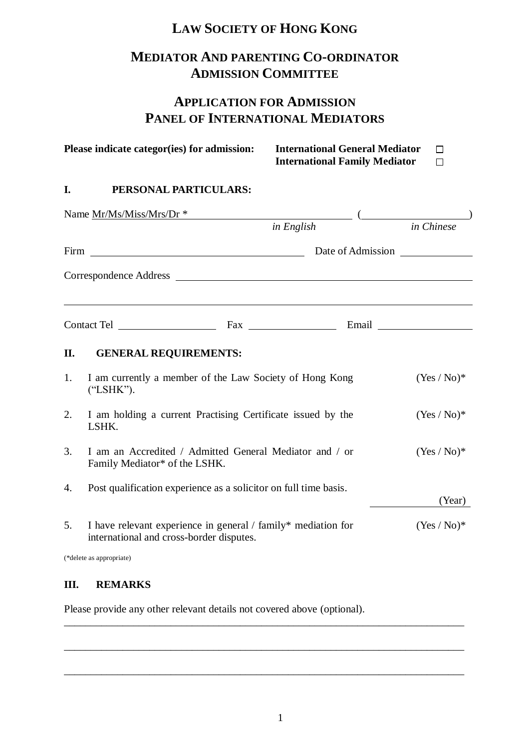# **LAW SOCIETY OF HONG KONG**

# **MEDIATOR AND PARENTING CO-ORDINATOR ADMISSION COMMITTEE**

# **APPLICATION FOR ADMISSION PANEL OF INTERNATIONAL MEDIATORS**

|    | Please indicate categor(ies) for admission:                                                               | <b>International General Mediator</b><br><b>International Family Mediator</b> | П<br>П        |
|----|-----------------------------------------------------------------------------------------------------------|-------------------------------------------------------------------------------|---------------|
| I. | PERSONAL PARTICULARS:                                                                                     |                                                                               |               |
|    | Name Mr/Ms/Miss/Mrs/Dr *                                                                                  |                                                                               |               |
|    |                                                                                                           | in English                                                                    | in Chinese    |
|    |                                                                                                           |                                                                               |               |
|    | Correspondence Address Language and Correspondence Address                                                |                                                                               |               |
|    |                                                                                                           |                                                                               |               |
| П. | <b>GENERAL REQUIREMENTS:</b>                                                                              |                                                                               |               |
| 1. | I am currently a member of the Law Society of Hong Kong<br>("LSHK").                                      |                                                                               | $(Yes / No)*$ |
| 2. | I am holding a current Practising Certificate issued by the<br>LSHK.                                      |                                                                               | $(Yes / No)*$ |
| 3. | I am an Accredited / Admitted General Mediator and / or<br>Family Mediator* of the LSHK.                  |                                                                               | $(Yes / No)*$ |
| 4. | Post qualification experience as a solicitor on full time basis.                                          |                                                                               | (Year)        |
| 5. | I have relevant experience in general / family* mediation for<br>international and cross-border disputes. |                                                                               | $(Yes / No)*$ |
|    | (*delete as appropriate)                                                                                  |                                                                               |               |

### **III. REMARKS**

Please provide any other relevant details not covered above (optional).

\_\_\_\_\_\_\_\_\_\_\_\_\_\_\_\_\_\_\_\_\_\_\_\_\_\_\_\_\_\_\_\_\_\_\_\_\_\_\_\_\_\_\_\_\_\_\_\_\_\_\_\_\_\_\_\_\_\_\_\_\_\_\_\_\_\_\_\_\_\_\_\_\_\_\_

\_\_\_\_\_\_\_\_\_\_\_\_\_\_\_\_\_\_\_\_\_\_\_\_\_\_\_\_\_\_\_\_\_\_\_\_\_\_\_\_\_\_\_\_\_\_\_\_\_\_\_\_\_\_\_\_\_\_\_\_\_\_\_\_\_\_\_\_\_\_\_\_\_\_\_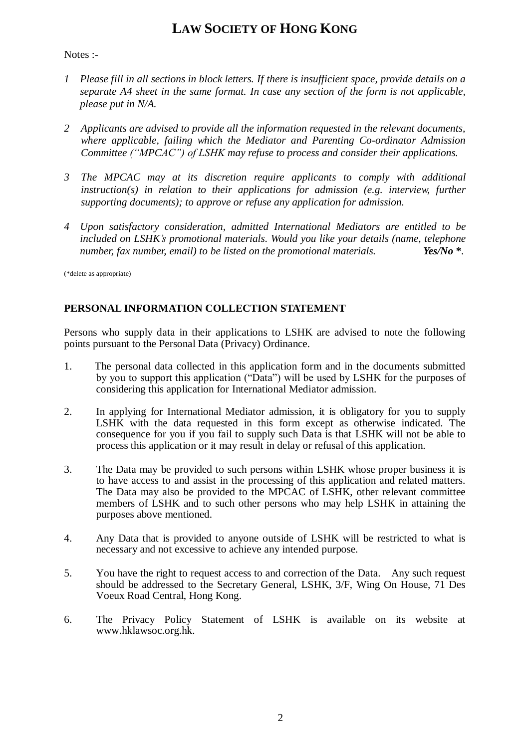### **LAW SOCIETY OF HONG KONG**

### Notes :-

- *1 Please fill in all sections in block letters. If there is insufficient space, provide details on a separate A4 sheet in the same format. In case any section of the form is not applicable, please put in N/A.*
- *2 Applicants are advised to provide all the information requested in the relevant documents, where applicable, failing which the Mediator and Parenting Co-ordinator Admission Committee ("MPCAC") of LSHK may refuse to process and consider their applications.*
- *3 The MPCAC may at its discretion require applicants to comply with additional instruction(s) in relation to their applications for admission (e.g. interview, further supporting documents); to approve or refuse any application for admission.*
- *4 Upon satisfactory consideration, admitted International Mediators are entitled to be included on LSHK's promotional materials. Would you like your details (name, telephone number, fax number, email) to be listed on the promotional materials. Yes/No* **\****.*

(\*delete as appropriate)

### **PERSONAL INFORMATION COLLECTION STATEMENT**

Persons who supply data in their applications to LSHK are advised to note the following points pursuant to the Personal Data (Privacy) Ordinance.

- 1. The personal data collected in this application form and in the documents submitted by you to support this application ("Data") will be used by LSHK for the purposes of considering this application for International Mediator admission.
- 2. In applying for International Mediator admission, it is obligatory for you to supply LSHK with the data requested in this form except as otherwise indicated. The consequence for you if you fail to supply such Data is that LSHK will not be able to process this application or it may result in delay or refusal of this application.
- 3. The Data may be provided to such persons within LSHK whose proper business it is to have access to and assist in the processing of this application and related matters. The Data may also be provided to the MPCAC of LSHK, other relevant committee members of LSHK and to such other persons who may help LSHK in attaining the purposes above mentioned.
- 4. Any Data that is provided to anyone outside of LSHK will be restricted to what is necessary and not excessive to achieve any intended purpose.
- 5. You have the right to request access to and correction of the Data. Any such request should be addressed to the Secretary General, LSHK, 3/F, Wing On House, 71 Des Voeux Road Central, Hong Kong.
- 6. The Privacy Policy Statement of LSHK is available on its website at www.hklawsoc.org.hk.